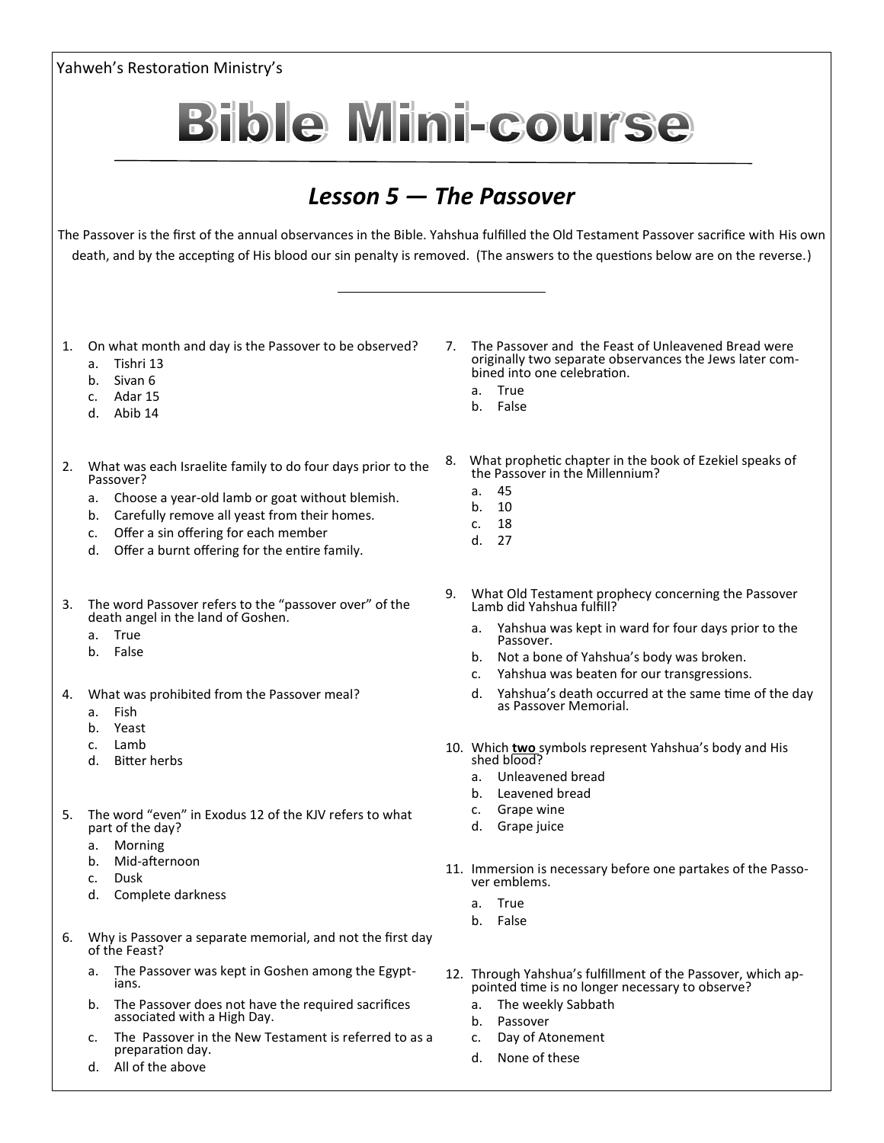

d. All of the above

d. None of these